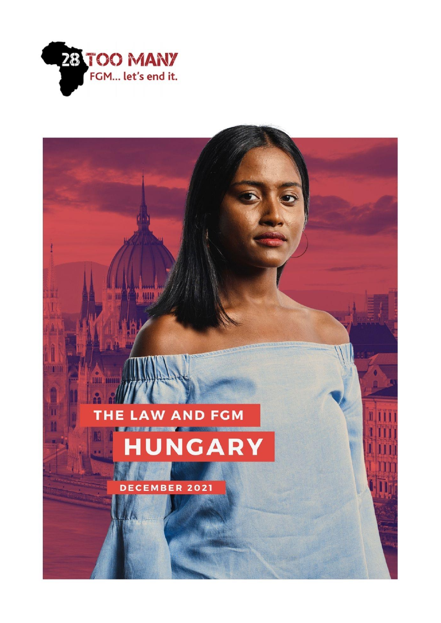

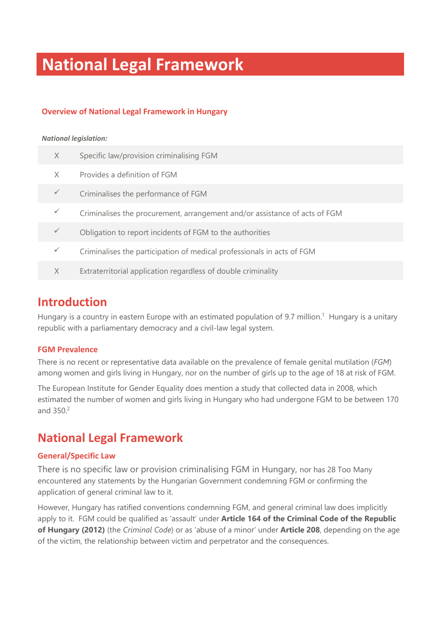# **National Legal Framework**

#### **Overview of National Legal Framework in Hungary**

#### *National legislation:*

| $\times$ | Specific law/provision criminalising FGM                                   |
|----------|----------------------------------------------------------------------------|
| X        | Provides a definition of FGM                                               |
|          | Criminalises the performance of FGM                                        |
|          | Criminalises the procurement, arrangement and/or assistance of acts of FGM |
|          | Obligation to report incidents of FGM to the authorities                   |
|          | Criminalises the participation of medical professionals in acts of FGM     |
| X        | Extraterritorial application regardless of double criminality              |

## **Introduction**

Hungary is a country in eastern Europe with an estimated population of 9.7 million.<sup>1</sup> Hungary is a unitary republic with a parliamentary democracy and a civil-law legal system.

#### **FGM Prevalence**

There is no recent or representative data available on the prevalence of female genital mutilation (*FGM*) among women and girls living in Hungary, nor on the number of girls up to the age of 18 at risk of FGM.

The European Institute for Gender Equality does mention a study that collected data in 2008, which estimated the number of women and girls living in Hungary who had undergone FGM to be between 170 and 350.<sup>2</sup>

## **National Legal Framework**

#### **General/Specific Law**

There is no specific law or provision criminalising FGM in Hungary, nor has 28 Too Many encountered any statements by the Hungarian Government condemning FGM or confirming the application of general criminal law to it.

However, Hungary has ratified conventions condemning FGM, and general criminal law does implicitly apply to it. FGM could be qualified as 'assault' under **Article 164 of the Criminal Code of the Republic of Hungary (2012)** (the *Criminal Code*) or as 'abuse of a minor' under **Article 208**, depending on the age of the victim, the relationship between victim and perpetrator and the consequences.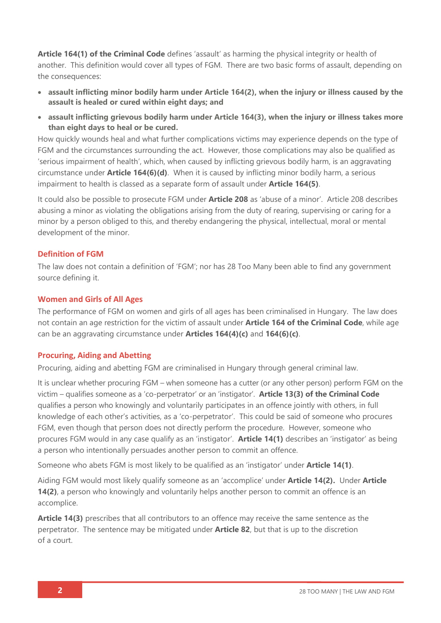**Article 164(1) of the Criminal Code** defines 'assault' as harming the physical integrity or health of another. This definition would cover all types of FGM. There are two basic forms of assault, depending on the consequences:

- **assault inflicting minor bodily harm under Article 164(2), when the injury or illness caused by the assault is healed or cured within eight days; and**
- **assault inflicting grievous bodily harm under Article 164(3), when the injury or illness takes more than eight days to heal or be cured.**

How quickly wounds heal and what further complications victims may experience depends on the type of FGM and the circumstances surrounding the act. However, those complications may also be qualified as 'serious impairment of health', which, when caused by inflicting grievous bodily harm, is an aggravating circumstance under **Article 164(6)(d)**. When it is caused by inflicting minor bodily harm, a serious impairment to health is classed as a separate form of assault under **Article 164(5)**.

It could also be possible to prosecute FGM under **Article 208** as 'abuse of a minor'. Article 208 describes abusing a minor as violating the obligations arising from the duty of rearing, supervising or caring for a minor by a person obliged to this, and thereby endangering the physical, intellectual, moral or mental development of the minor.

#### **Definition of FGM**

The law does not contain a definition of 'FGM'; nor has 28 Too Many been able to find any government source defining it.

#### **Women and Girls of All Ages**

The performance of FGM on women and girls of all ages has been criminalised in Hungary. The law does not contain an age restriction for the victim of assault under **Article 164 of the Criminal Code**, while age can be an aggravating circumstance under **Articles 164(4)(c)** and **164(6)(c)**.

#### **Procuring, Aiding and Abetting**

Procuring, aiding and abetting FGM are criminalised in Hungary through general criminal law.

It is unclear whether procuring FGM – when someone has a cutter (or any other person) perform FGM on the victim – qualifies someone as a 'co-perpetrator' or an 'instigator'. **Article 13(3) of the Criminal Code** qualifies a person who knowingly and voluntarily participates in an offence jointly with others, in full knowledge of each other's activities, as a 'co-perpetrator'. This could be said of someone who procures FGM, even though that person does not directly perform the procedure. However, someone who procures FGM would in any case qualify as an 'instigator'. **Article 14(1)** describes an 'instigator' as being a person who intentionally persuades another person to commit an offence.

Someone who abets FGM is most likely to be qualified as an 'instigator' under **Article 14(1)**.

Aiding FGM would most likely qualify someone as an 'accomplice' under **Article 14(2).** Under **Article 14(2)**, a person who knowingly and voluntarily helps another person to commit an offence is an accomplice.

**Article 14(3)** prescribes that all contributors to an offence may receive the same sentence as the perpetrator. The sentence may be mitigated under **Article 82**, but that is up to the discretion of a court.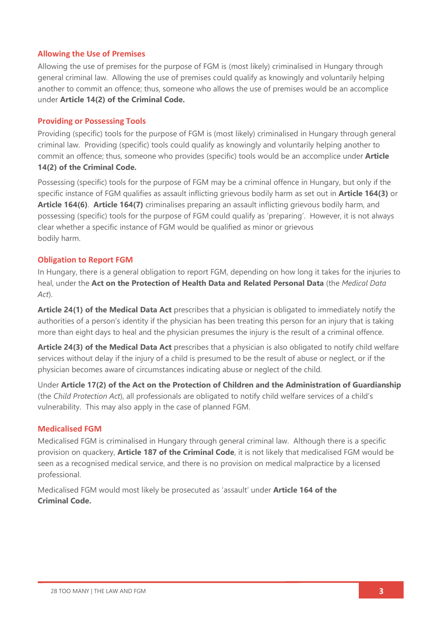#### **Allowing the Use of Premises**

Allowing the use of premises for the purpose of FGM is (most likely) criminalised in Hungary through general criminal law. Allowing the use of premises could qualify as knowingly and voluntarily helping another to commit an offence; thus, someone who allows the use of premises would be an accomplice under **Article 14(2) of the Criminal Code.**

#### **Providing or Possessing Tools**

Providing (specific) tools for the purpose of FGM is (most likely) criminalised in Hungary through general criminal law. Providing (specific) tools could qualify as knowingly and voluntarily helping another to commit an offence; thus, someone who provides (specific) tools would be an accomplice under **Article 14(2) of the Criminal Code.**

Possessing (specific) tools for the purpose of FGM may be a criminal offence in Hungary, but only if the specific instance of FGM qualifies as assault inflicting grievous bodily harm as set out in **Article 164(3)** or **Article 164(6)**. **Article 164(7)** criminalises preparing an assault inflicting grievous bodily harm, and possessing (specific) tools for the purpose of FGM could qualify as 'preparing'. However, it is not always clear whether a specific instance of FGM would be qualified as minor or grievous bodily harm.

#### **Obligation to Report FGM**

In Hungary, there is a general obligation to report FGM, depending on how long it takes for the injuries to heal, under the **Act on the Protection of Health Data and Related Personal Data** (the *Medical Data Act*).

**Article 24(1) of the Medical Data Act** prescribes that a physician is obligated to immediately notify the authorities of a person's identity if the physician has been treating this person for an injury that is taking more than eight days to heal and the physician presumes the injury is the result of a criminal offence.

**Article 24(3) of the Medical Data Act** prescribes that a physician is also obligated to notify child welfare services without delay if the injury of a child is presumed to be the result of abuse or neglect, or if the physician becomes aware of circumstances indicating abuse or neglect of the child.

Under **Article 17(2) of the Act on the Protection of Children and the Administration of Guardianship** (the *Child Protection Act*), all professionals are obligated to notify child welfare services of a child's vulnerability. This may also apply in the case of planned FGM.

#### **Medicalised FGM**

Medicalised FGM is criminalised in Hungary through general criminal law. Although there is a specific provision on quackery, **Article 187 of the Criminal Code**, it is not likely that medicalised FGM would be seen as a recognised medical service, and there is no provision on medical malpractice by a licensed professional.

Medicalised FGM would most likely be prosecuted as 'assault' under **Article 164 of the Criminal Code.**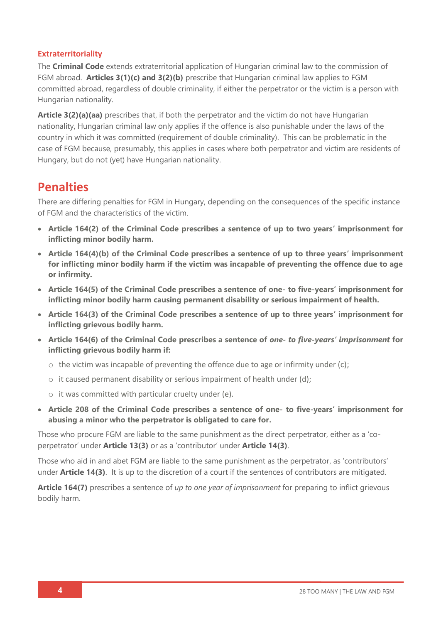#### **Extraterritoriality**

The **Criminal Code** extends extraterritorial application of Hungarian criminal law to the commission of FGM abroad. **Articles 3(1)(c) and 3(2)(b)** prescribe that Hungarian criminal law applies to FGM committed abroad, regardless of double criminality, if either the perpetrator or the victim is a person with Hungarian nationality.

**Article 3(2)(a)(aa)** prescribes that, if both the perpetrator and the victim do not have Hungarian nationality, Hungarian criminal law only applies if the offence is also punishable under the laws of the country in which it was committed (requirement of double criminality). This can be problematic in the case of FGM because, presumably, this applies in cases where both perpetrator and victim are residents of Hungary, but do not (yet) have Hungarian nationality.

## **Penalties**

There are differing penalties for FGM in Hungary, depending on the consequences of the specific instance of FGM and the characteristics of the victim.

- **Article 164(2) of the Criminal Code prescribes a sentence of up to two years' imprisonment for inflicting minor bodily harm.**
- **Article 164(4)(b) of the Criminal Code prescribes a sentence of up to three years' imprisonment for inflicting minor bodily harm if the victim was incapable of preventing the offence due to age or infirmity.**
- **Article 164(5) of the Criminal Code prescribes a sentence of one- to five-years' imprisonment for inflicting minor bodily harm causing permanent disability or serious impairment of health.**
- **Article 164(3) of the Criminal Code prescribes a sentence of up to three years' imprisonment for inflicting grievous bodily harm.**
- **Article 164(6) of the Criminal Code prescribes a sentence of** *one- to five-years' imprisonment* **for inflicting grievous bodily harm if:** 
	- $\circ$  the victim was incapable of preventing the offence due to age or infirmity under (c);
	- $\circ$  it caused permanent disability or serious impairment of health under (d);
	- o it was committed with particular cruelty under (e).
- **Article 208 of the Criminal Code prescribes a sentence of one- to five-years' imprisonment for abusing a minor who the perpetrator is obligated to care for.**

Those who procure FGM are liable to the same punishment as the direct perpetrator, either as a 'coperpetrator' under **Article 13(3)** or as a 'contributor' under **Article 14(3)**.

Those who aid in and abet FGM are liable to the same punishment as the perpetrator, as 'contributors' under **Article 14(3)**. It is up to the discretion of a court if the sentences of contributors are mitigated.

**Article 164(7)** prescribes a sentence of *up to one year of imprisonment* for preparing to inflict grievous bodily harm.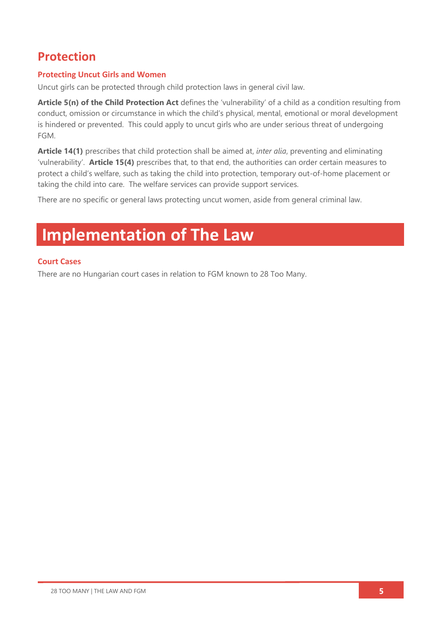# **Protection**

## **Protecting Uncut Girls and Women**

Uncut girls can be protected through child protection laws in general civil law.

**Article 5(n) of the Child Protection Act** defines the 'vulnerability' of a child as a condition resulting from conduct, omission or circumstance in which the child's physical, mental, emotional or moral development is hindered or prevented. This could apply to uncut girls who are under serious threat of undergoing FGM.

**Article 14(1)** prescribes that child protection shall be aimed at, *inter alia*, preventing and eliminating 'vulnerability'. **Article 15(4)** prescribes that, to that end, the authorities can order certain measures to protect a child's welfare, such as taking the child into protection, temporary out-of-home placement or taking the child into care. The welfare services can provide support services.

There are no specific or general laws protecting uncut women, aside from general criminal law.

# **Implementation of The Law**

#### **Court Cases**

There are no Hungarian court cases in relation to FGM known to 28 Too Many.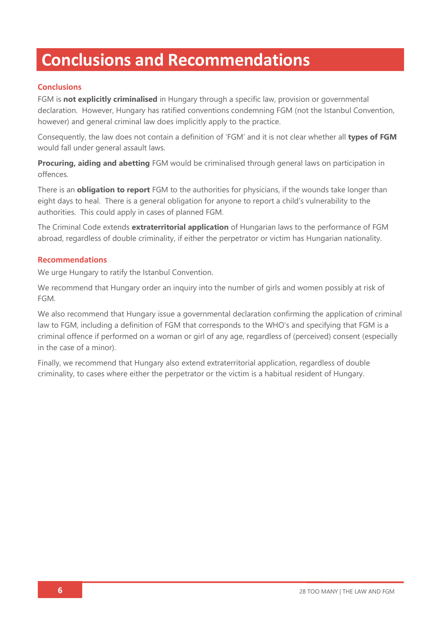# **Conclusions and Recommendations**

## **Conclusions**

FGM is **not explicitly criminalised** in Hungary through a specific law, provision or governmental declaration. However, Hungary has ratified conventions condemning FGM (not the Istanbul Convention, however) and general criminal law does implicitly apply to the practice.

Consequently, the law does not contain a definition of 'FGM' and it is not clear whether all **types of FGM** would fall under general assault laws.

**Procuring, aiding and abetting** FGM would be criminalised through general laws on participation in offences.

There is an **obligation to report** FGM to the authorities for physicians, if the wounds take longer than eight days to heal. There is a general obligation for anyone to report a child's vulnerability to the authorities. This could apply in cases of planned FGM.

The Criminal Code extends **extraterritorial application** of Hungarian laws to the performance of FGM abroad, regardless of double criminality, if either the perpetrator or victim has Hungarian nationality.

#### **Recommendations**

We urge Hungary to ratify the Istanbul Convention.

We recommend that Hungary order an inquiry into the number of girls and women possibly at risk of FGM.

We also recommend that Hungary issue a governmental declaration confirming the application of criminal law to FGM, including a definition of FGM that corresponds to the WHO's and specifying that FGM is a criminal offence if performed on a woman or girl of any age, regardless of (perceived) consent (especially in the case of a minor).

Finally, we recommend that Hungary also extend extraterritorial application, regardless of double criminality, to cases where either the perpetrator or the victim is a habitual resident of Hungary.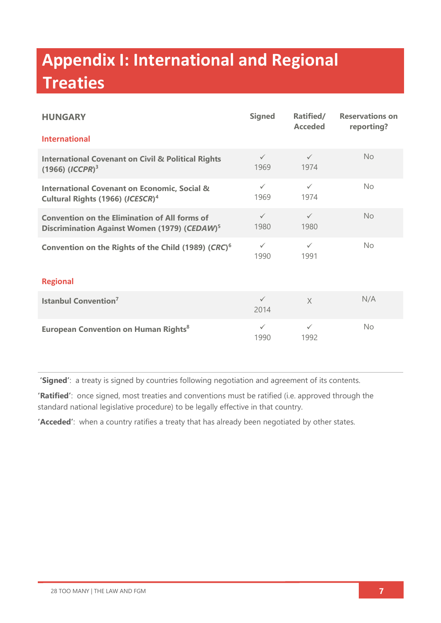# **Appendix I: International and Regional Treaties**

| <b>HUNGARY</b>                                                                                                   | <b>Signed</b>        | Ratified/<br><b>Acceded</b> | <b>Reservations on</b><br>reporting? |  |
|------------------------------------------------------------------------------------------------------------------|----------------------|-----------------------------|--------------------------------------|--|
| <b>International</b>                                                                                             |                      |                             |                                      |  |
| <b>International Covenant on Civil &amp; Political Rights</b><br>$(1966)$ $(ICCPR)^3$                            | $\checkmark$<br>1969 | $\checkmark$<br>1974        | No                                   |  |
| <b>International Covenant on Economic, Social &amp;</b><br>Cultural Rights (1966) (ICESCR) <sup>4</sup>          | $\checkmark$<br>1969 | $\checkmark$<br>1974        | No                                   |  |
| <b>Convention on the Elimination of All forms of</b><br>Discrimination Against Women (1979) (CEDAW) <sup>5</sup> | $\checkmark$<br>1980 | $\checkmark$<br>1980        | <b>No</b>                            |  |
| Convention on the Rights of the Child (1989) (CRC) <sup>6</sup>                                                  | $\checkmark$<br>1990 | $\checkmark$<br>1991        | No                                   |  |
| <b>Regional</b>                                                                                                  |                      |                             |                                      |  |
| <b>Istanbul Convention<sup>7</sup></b>                                                                           | $\checkmark$<br>2014 | $\chi$                      | N/A                                  |  |
| <b>European Convention on Human Rights<sup>8</sup></b>                                                           | $\checkmark$<br>1990 | $\checkmark$<br>1992        | No                                   |  |

**'Signed'**: a treaty is signed by countries following negotiation and agreement of its contents.

**'Ratified'**: once signed, most treaties and conventions must be ratified (i.e. approved through the standard national legislative procedure) to be legally effective in that country.

**'Acceded'**: when a country ratifies a treaty that has already been negotiated by other states.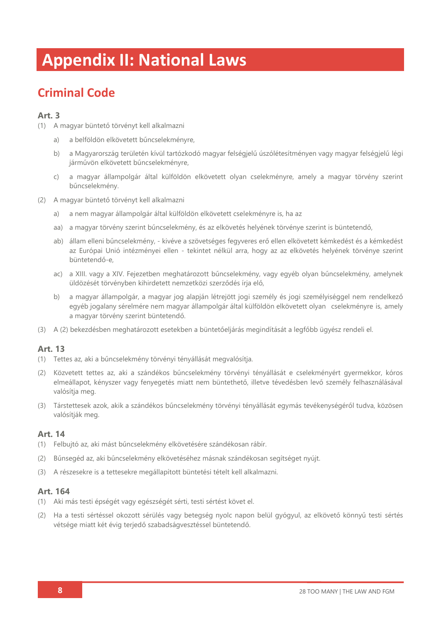# **Appendix II: National Laws**

# **Criminal Code**

## **Art. 3**

- (1) A magyar büntető törvényt kell alkalmazni
	- a) a belföldön elkövetett bűncselekményre,
	- b) a Magyarország területén kívül tartózkodó magyar felségjelű úszólétesítményen vagy magyar felségjelű légi járművön elkövetett bűncselekményre,
	- c) a magyar állampolgár által külföldön elkövetett olyan cselekményre, amely a magyar törvény szerint bűncselekmény.
- (2) A magyar büntető törvényt kell alkalmazni
	- a) a nem magyar állampolgár által külföldön elkövetett cselekményre is, ha az
	- aa) a magyar törvény szerint bűncselekmény, és az elkövetés helyének törvénye szerint is büntetendő,
	- ab) állam elleni bűncselekmény, kivéve a szövetséges fegyveres erő ellen elkövetett kémkedést és a kémkedést az Európai Unió intézményei ellen - tekintet nélkül arra, hogy az az elkövetés helyének törvénye szerint büntetendő-e,
	- ac) a XIII. vagy a XIV. Fejezetben meghatározott bűncselekmény, vagy egyéb olyan bűncselekmény, amelynek üldözését törvényben kihirdetett nemzetközi szerződés írja elő,
	- b) a magyar állampolgár, a magyar jog alapján létrejött jogi személy és jogi személyiséggel nem rendelkező egyéb jogalany sérelmére nem magyar állampolgár által külföldön elkövetett olyan cselekményre is, amely a magyar törvény szerint büntetendő.
- (3) A (2) bekezdésben meghatározott esetekben a büntetőeljárás megindítását a legfőbb ügyész rendeli el.

## **Art. 13**

- (1) Tettes az, aki a bűncselekmény törvényi tényállását megvalósítja.
- (2) Közvetett tettes az, aki a szándékos bűncselekmény törvényi tényállását e cselekményért gyermekkor, kóros elmeállapot, kényszer vagy fenyegetés miatt nem büntethető, illetve tévedésben levő személy felhasználásával valósítja meg.
- (3) Társtettesek azok, akik a szándékos bűncselekmény törvényi tényállását egymás tevékenységéről tudva, közösen valósítják meg.

## **Art. 14**

- (1) Felbujtó az, aki mást bűncselekmény elkövetésére szándékosan rábír.
- (2) Bűnsegéd az, aki bűncselekmény elkövetéséhez másnak szándékosan segítséget nyújt.
- (3) A részesekre is a tettesekre megállapított büntetési tételt kell alkalmazni.

#### **Art. 164**

- (1) Aki más testi épségét vagy egészségét sérti, testi sértést követ el.
- (2) Ha a testi sértéssel okozott sérülés vagy betegség nyolc napon belül gyógyul, az elkövető könnyű testi sértés vétsége miatt két évig terjedő szabadságvesztéssel büntetendő.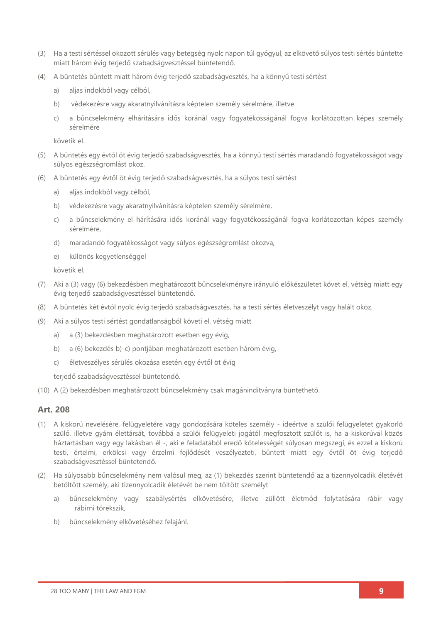- (3) Ha a testi sértéssel okozott sérülés vagy betegség nyolc napon túl gyógyul, az elkövető súlyos testi sértés bűntette miatt három évig terjedő szabadságvesztéssel büntetendő.
- (4) A büntetés bűntett miatt három évig terjedő szabadságvesztés, ha a könnyű testi sértést
	- a) aljas indokból vagy célból,
	- b) védekezésre vagy akaratnyilvánításra képtelen személy sérelmére, illetve
	- c) a bűncselekmény elhárítására idős koránál vagy fogyatékosságánál fogva korlátozottan képes személy sérelmére

követik el.

- (5) A büntetés egy évtől öt évig terjedő szabadságvesztés, ha a könnyű testi sértés maradandó fogyatékosságot vagy súlyos egészségromlást okoz.
- (6) A büntetés egy évtől öt évig terjedő szabadságvesztés, ha a súlyos testi sértést
	- a) aljas indokból vagy célból,
	- b) védekezésre vagy akaratnyilvánításra képtelen személy sérelmére,
	- c) a bűncselekmény el hárítására idős koránál vagy fogyatékosságánál fogva korlátozottan képes személy sérelmére,
	- d) maradandó fogyatékosságot vagy súlyos egészségromlást okozva,
	- e) különös kegyetlenséggel

követik el.

- (7) Aki a (3) vagy (6) bekezdésben meghatározott bűncselekményre irányuló előkészületet követ el, vétség miatt egy évig terjedő szabadságvesztéssel büntetendő.
- (8) A büntetés két évtől nyolc évig terjedő szabadságvesztés, ha a testi sértés életveszélyt vagy halált okoz.
- (9) Aki a súlyos testi sértést gondatlanságból követi el, vétség miatt
	- a) a (3) bekezdésben meghatározott esetben egy évig,
	- b) a (6) bekezdés b)-c) pontjában meghatározott esetben három évig,
	- c) életveszélyes sérülés okozása esetén egy évtől öt évig

terjedő szabadságvesztéssel büntetendő.

(10) A (2) bekezdésben meghatározott bűncselekmény csak magánindítványra büntethető.

#### **Art. 208**

- (1) A kiskorú nevelésére, felügyeletére vagy gondozására köteles személy ideértve a szülői felügyeletet gyakorló szülő, illetve gyám élettársát, továbbá a szülői felügyeleti jogától megfosztott szülőt is, ha a kiskorúval közös háztartásban vagy egy lakásban él -, aki e feladatából eredő kötelességét súlyosan megszegi, és ezzel a kiskorú testi, értelmi, erkölcsi vagy érzelmi fejlődését veszélyezteti, bűntett miatt egy évtől öt évig terjedő szabadságvesztéssel büntetendő.
- (2) Ha súlyosabb bűncselekmény nem valósul meg, az (1) bekezdés szerint büntetendő az a tizennyolcadik életévét betöltött személy, aki tizennyolcadik életévét be nem töltött személyt
	- a) bűncselekmény vagy szabálysértés elkövetésére, illetve züllött életmód folytatására rábír vagy rábírni törekszik,
	- b) bűncselekmény elkövetéséhez felajánl.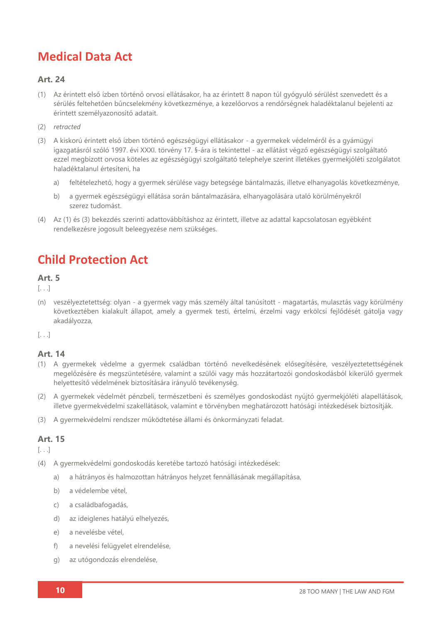# **Medical Data Act**

## **Art. 24**

- (1) Az érintett első ízben történő orvosi ellátásakor, ha az érintett 8 napon túl gyógyuló sérülést szenvedett és a sérülés feltehetően bűncselekmény következménye, a kezelőorvos a rendőrségnek haladéktalanul bejelenti az érintett személyazonosító adatait.
- (2) *retracted*
- (3) A kiskorú érintett első ízben történő egészségügyi ellátásakor a gyermekek védelméről és a gyámügyi igazgatásról szóló 1997. évi XXXI. törvény 17. §-ára is tekintettel - az ellátást végző egészségügyi szolgáltató ezzel megbízott orvosa köteles az egészségügyi szolgáltató telephelye szerint illetékes gyermekjóléti szolgálatot haladéktalanul értesíteni, ha
	- a) feltételezhető, hogy a gyermek sérülése vagy betegsége bántalmazás, illetve elhanyagolás következménye,
	- b) a gyermek egészségügyi ellátása során bántalmazására, elhanyagolására utaló körülményekről szerez tudomást.
- (4) Az (1) és (3) bekezdés szerinti adattovábbításhoz az érintett, illetve az adattal kapcsolatosan egyébként rendelkezésre jogosult beleegyezése nem szükséges.

# **Child Protection Act**

## **Art. 5**

[. . .]

(n) veszélyeztetettség: olyan - a gyermek vagy más személy által tanúsított - magatartás, mulasztás vagy körülmény következtében kialakult állapot, amely a gyermek testi, értelmi, érzelmi vagy erkölcsi fejlődését gátolja vagy akadályozza,

[. . .]

## **Art. 14**

- (1) A gyermekek védelme a gyermek családban történő nevelkedésének elősegítésére, veszélyeztetettségének megelőzésére és megszüntetésére, valamint a szülői vagy más hozzátartozói gondoskodásból kikerülő gyermek helyettesítő védelmének biztosítására irányuló tevékenység.
- (2) A gyermekek védelmét pénzbeli, természetbeni és személyes gondoskodást nyújtó gyermekjóléti alapellátások, illetve gyermekvédelmi szakellátások, valamint e törvényben meghatározott hatósági intézkedések biztosítják.
- (3) A gyermekvédelmi rendszer működtetése állami és önkormányzati feladat.

## **Art. 15**

[. . .]

- (4) A gyermekvédelmi gondoskodás keretébe tartozó hatósági intézkedések:
	- a) a hátrányos és halmozottan hátrányos helyzet fennállásának megállapítása,
	- b) a védelembe vétel,
	- c) a családbafogadás,
	- d) az ideiglenes hatályú elhelyezés,
	- e) a nevelésbe vétel,
	- f) a nevelési felügyelet elrendelése,
	- g) az utógondozás elrendelése,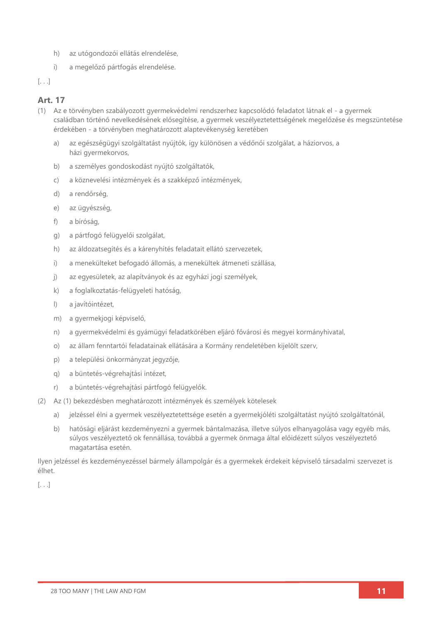- h) az utógondozói ellátás elrendelése,
- i) a megelőző pártfogás elrendelése.
- [. . .]

## **Art. 17**

- (1) Az e törvényben szabályozott gyermekvédelmi rendszerhez kapcsolódó feladatot látnak el a gyermek családban történő nevelkedésének elősegítése, a gyermek veszélyeztetettségének megelőzése és megszüntetése érdekében - a törvényben meghatározott alaptevékenység keretében
	- a) az egészségügyi szolgáltatást nyújtók, így különösen a védőnői szolgálat, a háziorvos, a házi gyermekorvos,
	- b) a személyes gondoskodást nyújtó szolgáltatók,
	- c) a köznevelési intézmények és a szakképző intézmények,
	- d) a rendőrség,
	- e) az ügyészség,
	- f) a bíróság,
	- g) a pártfogó felügyelői szolgálat,
	- h) az áldozatsegítés és a kárenyhítés feladatait ellátó szervezetek,
	- i) a menekülteket befogadó állomás, a menekültek átmeneti szállása,
	- j) az egyesületek, az alapítványok és az egyházi jogi személyek,
	- k) a foglalkoztatás-felügyeleti hatóság,
	- l) a javítóintézet,
	- m) a gyermekjogi képviselő,
	- n) a gyermekvédelmi és gyámügyi feladatkörében eljáró fővárosi és megyei kormányhivatal,
	- o) az állam fenntartói feladatainak ellátására a Kormány rendeletében kijelölt szerv,
	- p) a települési önkormányzat jegyzője,
	- q) a büntetés-végrehajtási intézet,
	- r) a büntetés-végrehajtási pártfogó felügyelők.
- (2) Az (1) bekezdésben meghatározott intézmények és személyek kötelesek
	- a) jelzéssel élni a gyermek veszélyeztetettsége esetén a gyermekjóléti szolgáltatást nyújtó szolgáltatónál,
	- b) hatósági eljárást kezdeményezni a gyermek bántalmazása, illetve súlyos elhanyagolása vagy egyéb más, súlyos veszélyeztető ok fennállása, továbbá a gyermek önmaga által előidézett súlyos veszélyeztető magatartása esetén.

Ilyen jelzéssel és kezdeményezéssel bármely állampolgár és a gyermekek érdekeit képviselő társadalmi szervezet is élhet.

[. . .]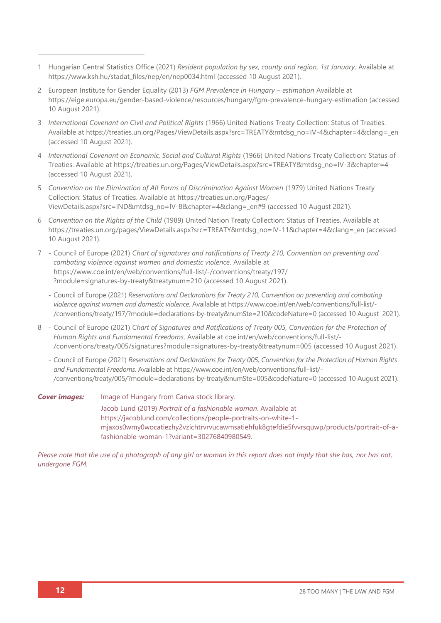- 1 Hungarian Central Statistics Office (2021) *Resident population by sex, county and region, 1st January*. Available at [https://www.ksh.hu/stadat\\_files/nep/en/nep0034.html](https://www.ksh.hu/stadat_files/nep/en/nep0034.html) (accessed 10 August 2021).
- 2 European Institute for Gender Equality (2013) *FGM Prevalence in Hungary – estimation* Available at <https://eige.europa.eu/gender-based-violence/resources/hungary/fgm-prevalence-hungary-estimation> (accessed 10 August 2021).
- 3 *International Covenant on Civil and Political Rights* (1966) United Nations Treaty Collection: Status of Treaties*.* Available at [https://treaties.un.org/Pages/ViewDetails.aspx?src=TREATY&mtdsg\\_no=IV-4&chapter=4&clang=\\_en](https://treaties.un.org/Pages/ViewDetails.aspx?src=TREATY&mtdsg_no=IV-4&chapter=4&clang=_en) (accessed 10 August 2021).
- 4 *International Covenant on Economic, Social and Cultural Rights* (1966) United Nations Treaty Collection: Status of Treaties. Available at [https://treaties.un.org/Pages/ViewDetails.aspx?src=TREATY&mtdsg\\_no=IV-3&chapter=4](https://treaties.un.org/Pages/ViewDetails.aspx?src=TREATY&mtdsg_no=IV-3&chapter=4) (accessed 10 August 2021).
- 5 *Convention on the Elimination of All Forms of Discrimination Against Women* (1979) United Nations Treaty Collection: Status of Treaties. Available at [https://treaties.un.org/Pages/](https://treaties.un.org/Pages/ViewDetails.aspx?src=IND&mtdsg_no=IV-8&chapter=4&clang=_en#9) [ViewDetails.aspx?src=IND&mtdsg\\_no=IV-8&chapter=4&clang=\\_en#9](https://treaties.un.org/Pages/ViewDetails.aspx?src=IND&mtdsg_no=IV-8&chapter=4&clang=_en#9) (accessed 10 August 2021).
- 6 *Convention on the Rights of the Child* (1989) United Nation Treaty Collection: Status of Treaties. Available at [https://treaties.un.org/pages/ViewDetails.aspx?src=TREATY&mtdsg\\_no=IV-11&chapter=4&clang=\\_en](https://treaties.un.org/pages/ViewDetails.aspx?src=TREATY&mtdsg_no=IV-11&chapter=4&clang=_en) (accessed 10 August 2021).
- 7 Council of Europe (2021) *Chart of signatures and ratifications of Treaty 210, Convention on preventing and combating violence against women and domestic violence*. Available at [https://www.coe.int/en/web/conventions/full-list/-/conventions/treaty/197/](https://www.coe.int/en/web/conventions/full-list/-/conventions/treaty/197/?module=signatures-by-treaty&treatynum=210) [?module=signatures-by-treaty&treatynum=210](https://www.coe.int/en/web/conventions/full-list/-/conventions/treaty/197/?module=signatures-by-treaty&treatynum=210) (accessed 10 August 2021).
	- Council of Europe (2021) *Reservations and Declarations for Treaty 210, Convention on preventing and combating violence against women and domestic violence*. Available at [https://www.coe.int/en/web/conventions/full-list/-](https://www.coe.int/en/web/conventions/full-list/-/conventions/treaty/197/?module=declarations-by-treaty&numSte=210&codeNature=0) [/conventions/treaty/197/?module=declarations-by-treaty&numSte=210&codeNature=0](https://www.coe.int/en/web/conventions/full-list/-/conventions/treaty/197/?module=declarations-by-treaty&numSte=210&codeNature=0) (accessed 10 August 2021).
- 8 Council of Europe (2021) *Chart of Signatures and Ratifications of Treaty 005, Convention for the Protection of Human Rights and Fundamental Freedoms*. Available at [coe.int/en/web/conventions/full-list/-](coe.int/en/web/conventions/full-list/-/conventions/treaty/005/signatures?module=signatures-by-treaty&treatynum=005) [/conventions/treaty/005/signatures?module=signatures-by-treaty&treatynum=005](coe.int/en/web/conventions/full-list/-/conventions/treaty/005/signatures?module=signatures-by-treaty&treatynum=005) (accessed 10 August 2021).
	- Council of Europe (2021) *Reservations and Declarations for Treaty 005, Convention for the Protection of Human Rights and Fundamental Freedoms*. Available at [https://www.coe.int/en/web/conventions/full-list/-](https://www.coe.int/en/web/conventions/full-list/-/conventions/treaty/005/?module=declarations-by-treaty&numSte=005&codeNature=0) [/conventions/treaty/005/?module=declarations-by-treaty&numSte=005&codeNature=0](https://www.coe.int/en/web/conventions/full-list/-/conventions/treaty/005/?module=declarations-by-treaty&numSte=005&codeNature=0) (accessed 10 August 2021).

**Cover images:** Image of Hungary from Canva stock library. Jacob Lund (2019) *Portrait of a fashionable woman*. Available at [https://jacoblund.com/collections/people-portraits-on-white-1](https://jacoblund.com/collections/people-portraits-on-white-1-mjaxos0wmy0wocatiezhy2vzichtrvrvucawmsatiehfuk8gtefdie5fvvrsquwp/products/portrait-of-a-fashionable-woman-1?variant=30276840980549) [mjaxos0wmy0wocatiezhy2vzichtrvrvucawmsatiehfuk8gtefdie5fvvrsquwp/products/portrait-of-a](https://jacoblund.com/collections/people-portraits-on-white-1-mjaxos0wmy0wocatiezhy2vzichtrvrvucawmsatiehfuk8gtefdie5fvvrsquwp/products/portrait-of-a-fashionable-woman-1?variant=30276840980549)[fashionable-woman-1?variant=30276840980549](https://jacoblund.com/collections/people-portraits-on-white-1-mjaxos0wmy0wocatiezhy2vzichtrvrvucawmsatiehfuk8gtefdie5fvvrsquwp/products/portrait-of-a-fashionable-woman-1?variant=30276840980549)*.*

*Please note that the use of a photograph of any girl or woman in this report does not imply that she has, nor has not, undergone FGM.*